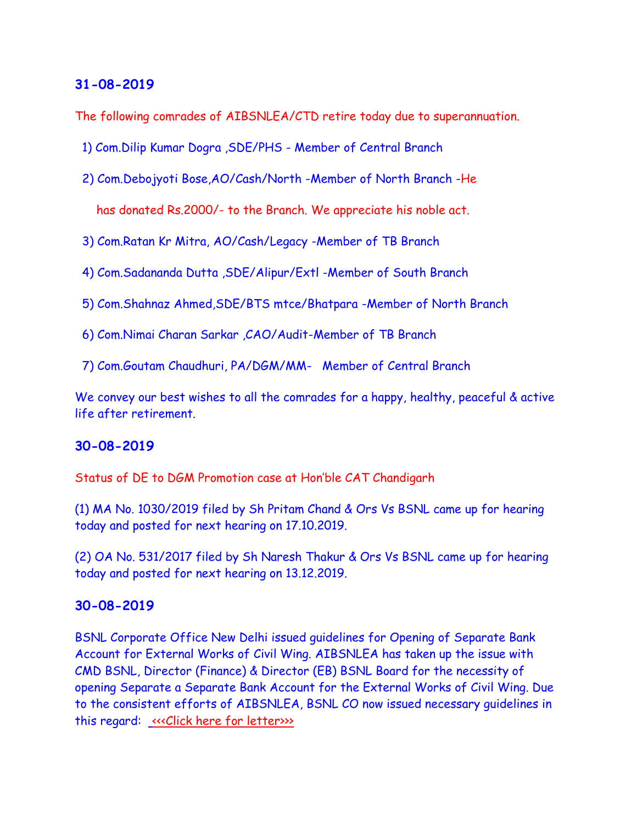The following comrades of AIBSNLEA/CTD retire today due to superannuation.

1) Com.Dilip Kumar Dogra ,SDE/PHS - Member of Central Branch

2) Com.Debojyoti Bose,AO/Cash/North -Member of North Branch -He

has donated Rs.2000/- to the Branch. We appreciate his noble act.

- 3) Com.Ratan Kr Mitra, AO/Cash/Legacy -Member of TB Branch
- 4) Com.Sadananda Dutta ,SDE/Alipur/Extl -Member of South Branch
- 5) Com.Shahnaz Ahmed,SDE/BTS mtce/Bhatpara -Member of North Branch
- 6) Com.Nimai Charan Sarkar ,CAO/Audit-Member of TB Branch
- 7) Com.Goutam Chaudhuri, PA/DGM/MM- Member of Central Branch

We convey our best wishes to all the comrades for a happy, healthy, peaceful & active life after retirement.

### **30-08-2019**

Status of DE to DGM Promotion case at Hon'ble CAT Chandigarh

(1) MA No. 1030/2019 filed by Sh Pritam Chand & Ors Vs BSNL came up for hearing today and posted for next hearing on 17.10.2019.

(2) OA No. 531/2017 filed by Sh Naresh Thakur & Ors Vs BSNL came up for hearing today and posted for next hearing on 13.12.2019.

### **30-08-2019**

BSNL Corporate Office New Delhi issued guidelines for Opening of Separate Bank Account for External Works of Civil Wing. AIBSNLEA has taken up the issue with CMD BSNL, Director (Finance) & Director (EB) BSNL Board for the necessity of opening Separate a Separate Bank Account for the External Works of Civil Wing. Due to the consistent efforts of AIBSNLEA, BSNL CO now issued necessary guidelines in this regard: «Click here for letter»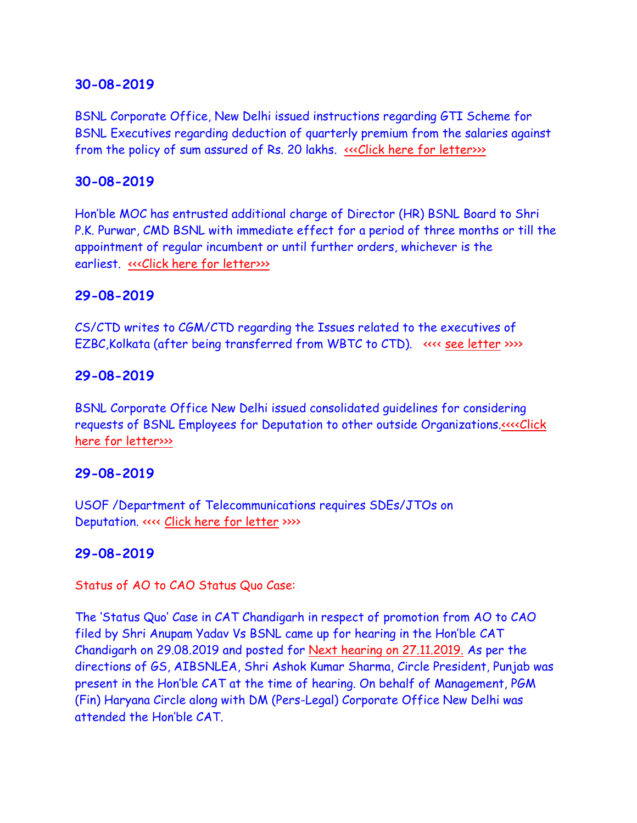BSNL Corporate Office, New Delhi issued instructions regarding GTI Scheme for BSNL Executives regarding deduction of quarterly premium from the salaries against from the policy of sum assured of Rs. 20 lakhs. «<< Click here for letter>>>

### **30-08-2019**

Hon'ble MOC has entrusted additional charge of Director (HR) BSNL Board to Shri P.K. Purwar, CMD BSNL with immediate effect for a period of three months or till the appointment of regular incumbent or until further orders, whichever is the earliest. «<< Click here for letter>>>

### **29-08-2019**

CS/CTD writes to CGM/CTD regarding the Issues related to the executives of EZBC, Kolkata (after being transferred from WBTC to CTD). <<<< [see letter](http://aibsnleawb.org/EZBC_290819.pdf) >>>>>>>>>

### **29-08-2019**

BSNL Corporate Office New Delhi issued consolidated guidelines for considering requests of BSNL Employees for Deputation to other outside Organizations[.<<<<Click](http://www.aibsnleachq.in/IMG-20190829-WA0164%20(1).pdf)  [here for letter>>>](http://www.aibsnleachq.in/IMG-20190829-WA0164%20(1).pdf)

### **29-08-2019**

USOF /Department of Telecommunications requires SDEs/JTOs on Deputation. <<<< [Click here for letter](http://aibsnleawb.org/USOF.pdf) >>>>

## **29-08-2019**

Status of AO to CAO Status Quo Case:

The 'Status Quo' Case in CAT Chandigarh in respect of promotion from AO to CAO filed by Shri Anupam Yadav Vs BSNL came up for hearing in the Hon'ble CAT Chandigarh on 29.08.2019 and posted for Next hearing on 27.11.2019. As per the directions of GS, AIBSNLEA, Shri Ashok Kumar Sharma, Circle President, Punjab was present in the Hon'ble CAT at the time of hearing. On behalf of Management, PGM (Fin) Haryana Circle along with DM (Pers-Legal) Corporate Office New Delhi was attended the Hon'ble CAT.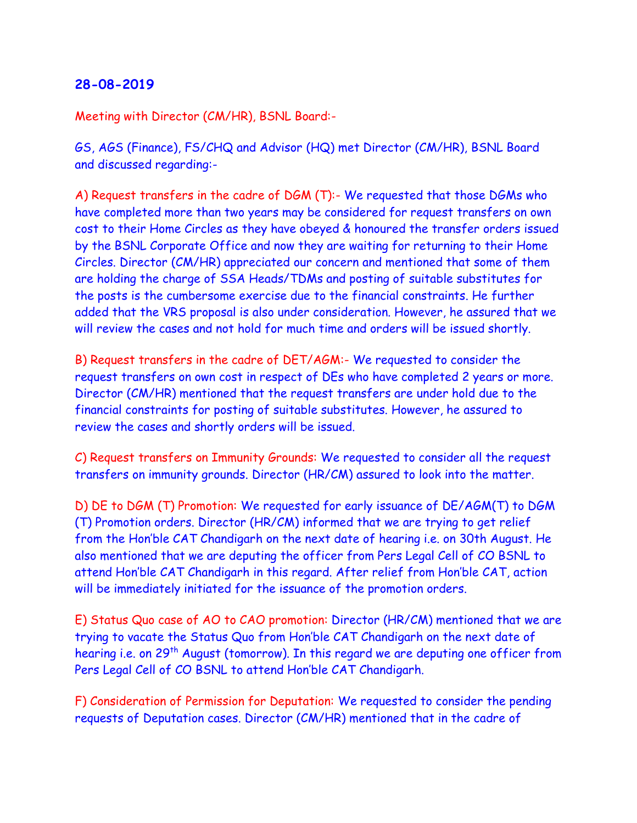Meeting with Director (CM/HR), BSNL Board:-

GS, AGS (Finance), FS/CHQ and Advisor (HQ) met Director (CM/HR), BSNL Board and discussed regarding:-

A) Request transfers in the cadre of DGM (T):- We requested that those DGMs who have completed more than two years may be considered for request transfers on own cost to their Home Circles as they have obeyed & honoured the transfer orders issued by the BSNL Corporate Office and now they are waiting for returning to their Home Circles. Director (CM/HR) appreciated our concern and mentioned that some of them are holding the charge of SSA Heads/TDMs and posting of suitable substitutes for the posts is the cumbersome exercise due to the financial constraints. He further added that the VRS proposal is also under consideration. However, he assured that we will review the cases and not hold for much time and orders will be issued shortly.

B) Request transfers in the cadre of DET/AGM:- We requested to consider the request transfers on own cost in respect of DEs who have completed 2 years or more. Director (CM/HR) mentioned that the request transfers are under hold due to the financial constraints for posting of suitable substitutes. However, he assured to review the cases and shortly orders will be issued.

C) Request transfers on Immunity Grounds: We requested to consider all the request transfers on immunity grounds. Director (HR/CM) assured to look into the matter.

D) DE to DGM (T) Promotion: We requested for early issuance of DE/AGM(T) to DGM (T) Promotion orders. Director (HR/CM) informed that we are trying to get relief from the Hon'ble CAT Chandigarh on the next date of hearing i.e. on 30th August. He also mentioned that we are deputing the officer from Pers Legal Cell of CO BSNL to attend Hon'ble CAT Chandigarh in this regard. After relief from Hon'ble CAT, action will be immediately initiated for the issuance of the promotion orders.

E) Status Quo case of AO to CAO promotion: Director (HR/CM) mentioned that we are trying to vacate the Status Quo from Hon'ble CAT Chandigarh on the next date of hearing i.e. on 29<sup>th</sup> August (tomorrow). In this regard we are deputing one officer from Pers Legal Cell of CO BSNL to attend Hon'ble CAT Chandigarh.

F) Consideration of Permission for Deputation: We requested to consider the pending requests of Deputation cases. Director (CM/HR) mentioned that in the cadre of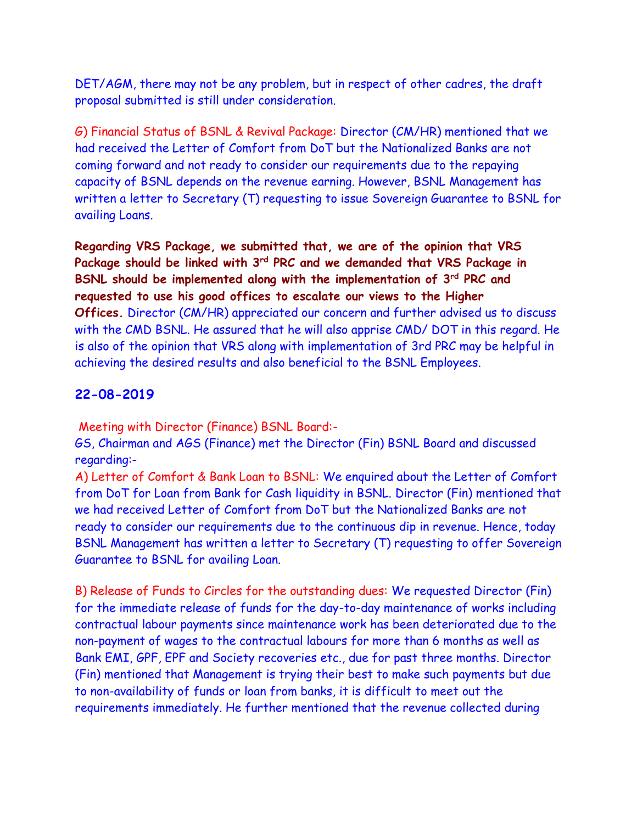DET/AGM, there may not be any problem, but in respect of other cadres, the draft proposal submitted is still under consideration.

G) Financial Status of BSNL & Revival Package: Director (CM/HR) mentioned that we had received the Letter of Comfort from DoT but the Nationalized Banks are not coming forward and not ready to consider our requirements due to the repaying capacity of BSNL depends on the revenue earning. However, BSNL Management has written a letter to Secretary (T) requesting to issue Sovereign Guarantee to BSNL for availing Loans.

**Regarding VRS Package, we submitted that, we are of the opinion that VRS Package should be linked with 3rd PRC and we demanded that VRS Package in BSNL should be implemented along with the implementation of 3rd PRC and requested to use his good offices to escalate our views to the Higher Offices.** Director (CM/HR) appreciated our concern and further advised us to discuss with the CMD BSNL. He assured that he will also apprise CMD/ DOT in this regard. He is also of the opinion that VRS along with implementation of 3rd PRC may be helpful in achieving the desired results and also beneficial to the BSNL Employees.

### **22-08-2019**

Meeting with Director (Finance) BSNL Board:-

GS, Chairman and AGS (Finance) met the Director (Fin) BSNL Board and discussed regarding:-

A) Letter of Comfort & Bank Loan to BSNL: We enquired about the Letter of Comfort from DoT for Loan from Bank for Cash liquidity in BSNL. Director (Fin) mentioned that we had received Letter of Comfort from DoT but the Nationalized Banks are not ready to consider our requirements due to the continuous dip in revenue. Hence, today BSNL Management has written a letter to Secretary (T) requesting to offer Sovereign Guarantee to BSNL for availing Loan.

B) Release of Funds to Circles for the outstanding dues: We requested Director (Fin) for the immediate release of funds for the day-to-day maintenance of works including contractual labour payments since maintenance work has been deteriorated due to the non-payment of wages to the contractual labours for more than 6 months as well as Bank EMI, GPF, EPF and Society recoveries etc., due for past three months. Director (Fin) mentioned that Management is trying their best to make such payments but due to non-availability of funds or loan from banks, it is difficult to meet out the requirements immediately. He further mentioned that the revenue collected during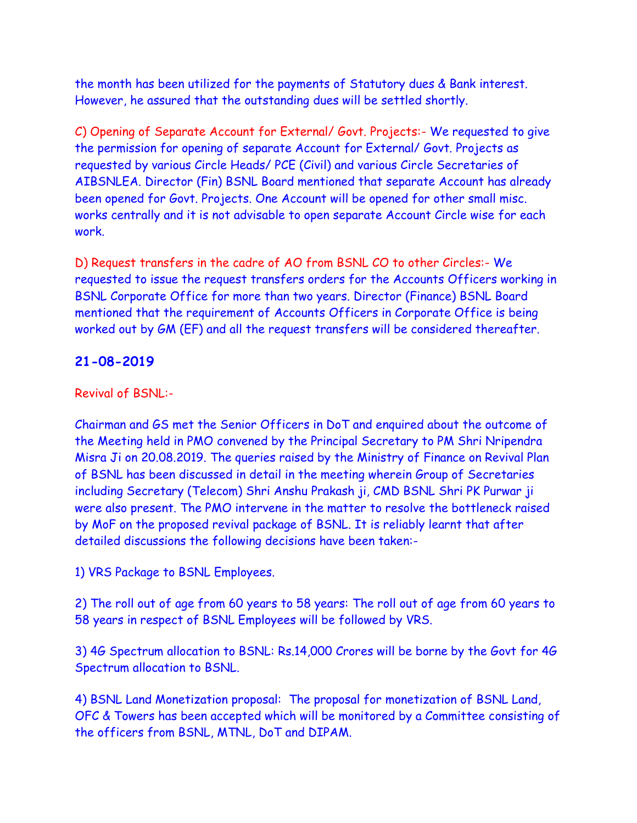the month has been utilized for the payments of Statutory dues & Bank interest. However, he assured that the outstanding dues will be settled shortly.

C) Opening of Separate Account for External/ Govt. Projects:- We requested to give the permission for opening of separate Account for External/ Govt. Projects as requested by various Circle Heads/ PCE (Civil) and various Circle Secretaries of AIBSNLEA. Director (Fin) BSNL Board mentioned that separate Account has already been opened for Govt. Projects. One Account will be opened for other small misc. works centrally and it is not advisable to open separate Account Circle wise for each work.

D) Request transfers in the cadre of AO from BSNL CO to other Circles:- We requested to issue the request transfers orders for the Accounts Officers working in BSNL Corporate Office for more than two years. Director (Finance) BSNL Board mentioned that the requirement of Accounts Officers in Corporate Office is being worked out by GM (EF) and all the request transfers will be considered thereafter.

## **21-08-2019**

### Revival of BSNL:-

Chairman and GS met the Senior Officers in DoT and enquired about the outcome of the Meeting held in PMO convened by the Principal Secretary to PM Shri Nripendra Misra Ji on 20.08.2019. The queries raised by the Ministry of Finance on Revival Plan of BSNL has been discussed in detail in the meeting wherein Group of Secretaries including Secretary (Telecom) Shri Anshu Prakash ji, CMD BSNL Shri PK Purwar ji were also present. The PMO intervene in the matter to resolve the bottleneck raised by MoF on the proposed revival package of BSNL. It is reliably learnt that after detailed discussions the following decisions have been taken:-

1) VRS Package to BSNL Employees.

2) The roll out of age from 60 years to 58 years: The roll out of age from 60 years to 58 years in respect of BSNL Employees will be followed by VRS.

3) 4G Spectrum allocation to BSNL: Rs.14,000 Crores will be borne by the Govt for 4G Spectrum allocation to BSNL.

4) BSNL Land Monetization proposal: The proposal for monetization of BSNL Land, OFC & Towers has been accepted which will be monitored by a Committee consisting of the officers from BSNL, MTNL, DoT and DIPAM.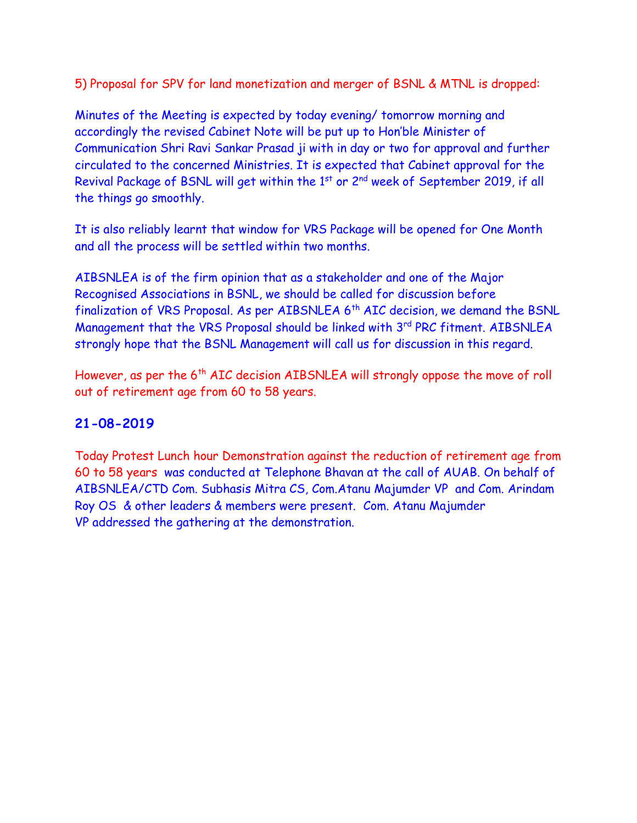5) Proposal for SPV for land monetization and merger of BSNL & MTNL is dropped:

Minutes of the Meeting is expected by today evening/ tomorrow morning and accordingly the revised Cabinet Note will be put up to Hon'ble Minister of Communication Shri Ravi Sankar Prasad ji with in day or two for approval and further circulated to the concerned Ministries. It is expected that Cabinet approval for the Revival Package of BSNL will get within the 1st or 2<sup>nd</sup> week of September 2019, if all the things go smoothly.

It is also reliably learnt that window for VRS Package will be opened for One Month and all the process will be settled within two months.

AIBSNLEA is of the firm opinion that as a stakeholder and one of the Major Recognised Associations in BSNL, we should be called for discussion before finalization of VRS Proposal. As per AIBSNLEA 6<sup>th</sup> AIC decision, we demand the BSNL Management that the VRS Proposal should be linked with 3rd PRC fitment. AIBSNLEA strongly hope that the BSNL Management will call us for discussion in this regard.

However, as per the 6<sup>th</sup> AIC decision AIBSNLEA will strongly oppose the move of roll out of retirement age from 60 to 58 years.

## **21-08-2019**

Today Protest Lunch hour Demonstration against the reduction of retirement age from 60 to 58 years was conducted at Telephone Bhavan at the call of AUAB. On behalf of AIBSNLEA/CTD Com. Subhasis Mitra CS, Com.Atanu Majumder VP and Com. Arindam Roy OS & other leaders & members were present. Com. Atanu Majumder VP addressed the gathering at the demonstration.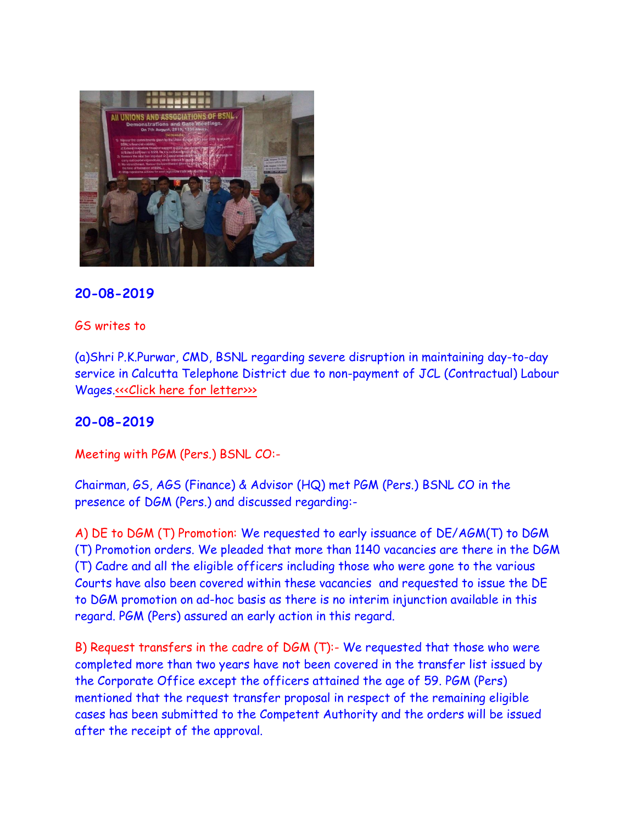

#### GS writes to

(a)Shri P.K.Purwar, CMD, BSNL regarding severe disruption in maintaining day-to-day service in Calcutta Telephone District due to non-payment of JCL (Contractual) Labour Wages[.<<<Click here for letter>>>](http://www.aibsnleachq.in/cmd_190821.pdf)>

#### **20-08-2019**

Meeting with PGM (Pers.) BSNL CO:-

Chairman, GS, AGS (Finance) & Advisor (HQ) met PGM (Pers.) BSNL CO in the presence of DGM (Pers.) and discussed regarding:-

A) DE to DGM (T) Promotion: We requested to early issuance of DE/AGM(T) to DGM (T) Promotion orders. We pleaded that more than 1140 vacancies are there in the DGM (T) Cadre and all the eligible officers including those who were gone to the various Courts have also been covered within these vacancies and requested to issue the DE to DGM promotion on ad-hoc basis as there is no interim injunction available in this regard. PGM (Pers) assured an early action in this regard.

B) Request transfers in the cadre of DGM (T):- We requested that those who were completed more than two years have not been covered in the transfer list issued by the Corporate Office except the officers attained the age of 59. PGM (Pers) mentioned that the request transfer proposal in respect of the remaining eligible cases has been submitted to the Competent Authority and the orders will be issued after the receipt of the approval.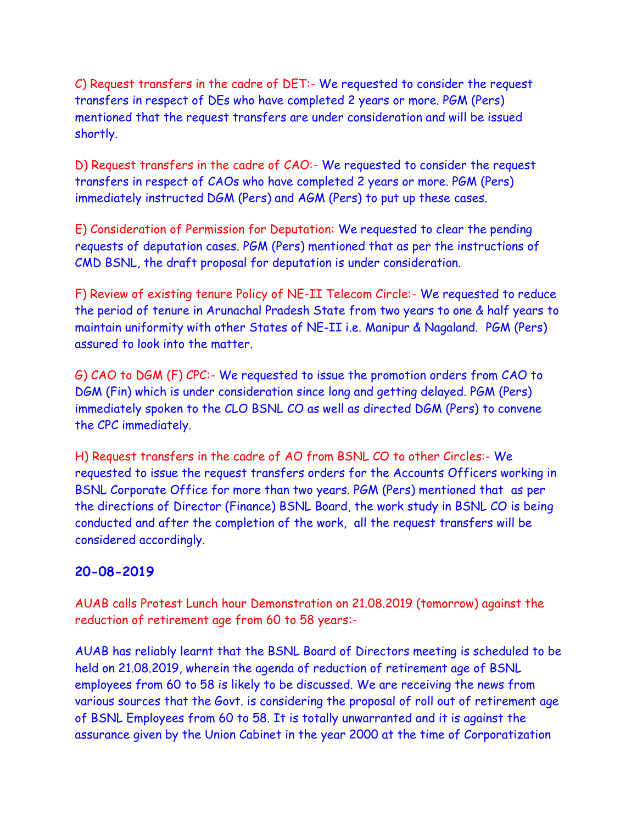C) Request transfers in the cadre of DET:- We requested to consider the request transfers in respect of DEs who have completed 2 years or more. PGM (Pers) mentioned that the request transfers are under consideration and will be issued shortly.

D) Request transfers in the cadre of CAO:- We requested to consider the request transfers in respect of CAOs who have completed 2 years or more. PGM (Pers) immediately instructed DGM (Pers) and AGM (Pers) to put up these cases.

E) Consideration of Permission for Deputation: We requested to clear the pending requests of deputation cases. PGM (Pers) mentioned that as per the instructions of CMD BSNL, the draft proposal for deputation is under consideration.

F) Review of existing tenure Policy of NE-II Telecom Circle:- We requested to reduce the period of tenure in Arunachal Pradesh State from two years to one & half years to maintain uniformity with other States of NE-II i.e. Manipur & Nagaland. PGM (Pers) assured to look into the matter.

G) CAO to DGM (F) CPC:- We requested to issue the promotion orders from CAO to DGM (Fin) which is under consideration since long and getting delayed. PGM (Pers) immediately spoken to the CLO BSNL CO as well as directed DGM (Pers) to convene the CPC immediately.

H) Request transfers in the cadre of AO from BSNL CO to other Circles:- We requested to issue the request transfers orders for the Accounts Officers working in BSNL Corporate Office for more than two years. PGM (Pers) mentioned that as per the directions of Director (Finance) BSNL Board, the work study in BSNL CO is being conducted and after the completion of the work, all the request transfers will be considered accordingly.

## **20-08-2019**

AUAB calls Protest Lunch hour Demonstration on 21.08.2019 (tomorrow) against the reduction of retirement age from 60 to 58 years:-

AUAB has reliably learnt that the BSNL Board of Directors meeting is scheduled to be held on 21.08.2019, wherein the agenda of reduction of retirement age of BSNL employees from 60 to 58 is likely to be discussed. We are receiving the news from various sources that the Govt. is considering the proposal of roll out of retirement age of BSNL Employees from 60 to 58. It is totally unwarranted and it is against the assurance given by the Union Cabinet in the year 2000 at the time of Corporatization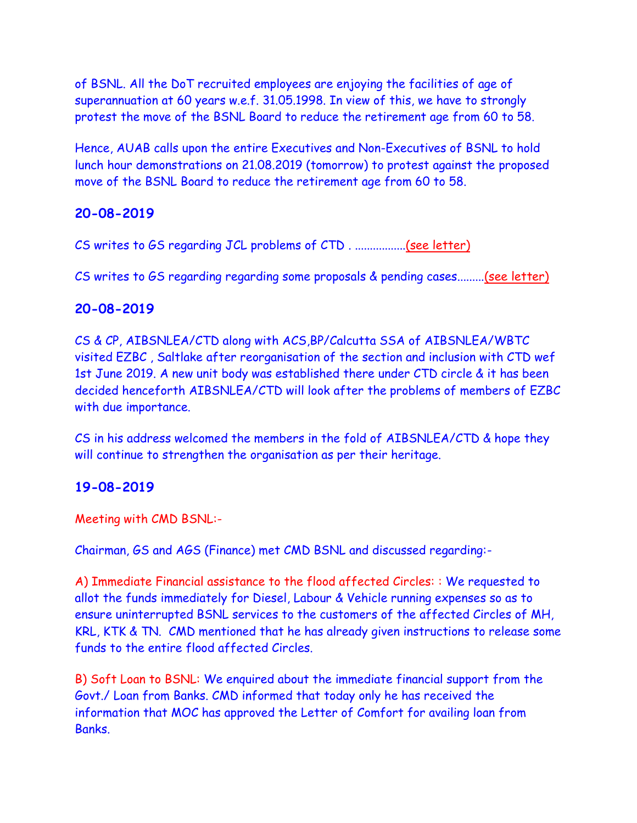of BSNL. All the DoT recruited employees are enjoying the facilities of age of superannuation at 60 years w.e.f. 31.05.1998. In view of this, we have to strongly protest the move of the BSNL Board to reduce the retirement age from 60 to 58.

Hence, AUAB calls upon the entire Executives and Non-Executives of BSNL to hold lunch hour demonstrations on 21.08.2019 (tomorrow) to protest against the proposed move of the BSNL Board to reduce the retirement age from 60 to 58.

# **20-08-2019**

CS writes to GS regarding JCL problems of CTD . ................[.\(see letter\)](http://aibsnleawb.org/GS_JCL%20200819.pdf)

CS writes to GS regarding regarding some proposals & pending cases........[.\(see letter\)](http://aibsnleawb.org/GS_200819.pdf)

## **20-08-2019**

CS & CP, AIBSNLEA/CTD along with ACS,BP/Calcutta SSA of AIBSNLEA/WBTC visited EZBC , Saltlake after reorganisation of the section and inclusion with CTD wef 1st June 2019. A new unit body was established there under CTD circle & it has been decided henceforth AIBSNLEA/CTD will look after the problems of members of EZBC with due importance.

CS in his address welcomed the members in the fold of AIBSNLEA/CTD & hope they will continue to strengthen the organisation as per their heritage.

# **19-08-2019**

Meeting with CMD BSNL:-

Chairman, GS and AGS (Finance) met CMD BSNL and discussed regarding:-

A) Immediate Financial assistance to the flood affected Circles: : We requested to allot the funds immediately for Diesel, Labour & Vehicle running expenses so as to ensure uninterrupted BSNL services to the customers of the affected Circles of MH, KRL, KTK & TN. CMD mentioned that he has already given instructions to release some funds to the entire flood affected Circles.

B) Soft Loan to BSNL: We enquired about the immediate financial support from the Govt./ Loan from Banks. CMD informed that today only he has received the information that MOC has approved the Letter of Comfort for availing loan from Banks.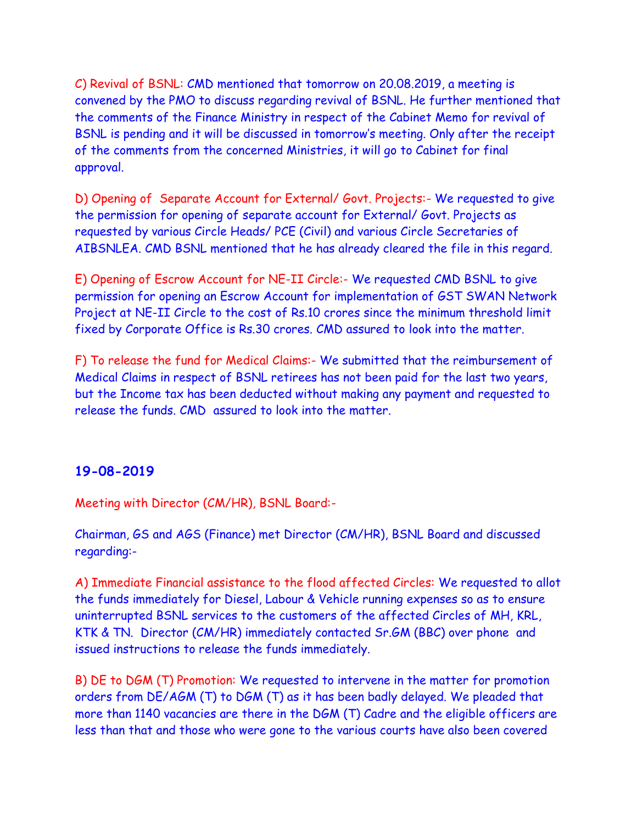C) Revival of BSNL: CMD mentioned that tomorrow on 20.08.2019, a meeting is convened by the PMO to discuss regarding revival of BSNL. He further mentioned that the comments of the Finance Ministry in respect of the Cabinet Memo for revival of BSNL is pending and it will be discussed in tomorrow's meeting. Only after the receipt of the comments from the concerned Ministries, it will go to Cabinet for final approval.

D) Opening of Separate Account for External/ Govt. Projects:- We requested to give the permission for opening of separate account for External/ Govt. Projects as requested by various Circle Heads/ PCE (Civil) and various Circle Secretaries of AIBSNLEA. CMD BSNL mentioned that he has already cleared the file in this regard.

E) Opening of Escrow Account for NE-II Circle:- We requested CMD BSNL to give permission for opening an Escrow Account for implementation of GST SWAN Network Project at NE-II Circle to the cost of Rs.10 crores since the minimum threshold limit fixed by Corporate Office is Rs.30 crores. CMD assured to look into the matter.

F) To release the fund for Medical Claims:- We submitted that the reimbursement of Medical Claims in respect of BSNL retirees has not been paid for the last two years, but the Income tax has been deducted without making any payment and requested to release the funds. CMD assured to look into the matter.

#### **19-08-2019**

Meeting with Director (CM/HR), BSNL Board:-

Chairman, GS and AGS (Finance) met Director (CM/HR), BSNL Board and discussed regarding:-

A) Immediate Financial assistance to the flood affected Circles: We requested to allot the funds immediately for Diesel, Labour & Vehicle running expenses so as to ensure uninterrupted BSNL services to the customers of the affected Circles of MH, KRL, KTK & TN. Director (CM/HR) immediately contacted Sr.GM (BBC) over phone and issued instructions to release the funds immediately.

B) DE to DGM (T) Promotion: We requested to intervene in the matter for promotion orders from DE/AGM (T) to DGM (T) as it has been badly delayed. We pleaded that more than 1140 vacancies are there in the DGM (T) Cadre and the eligible officers are less than that and those who were gone to the various courts have also been covered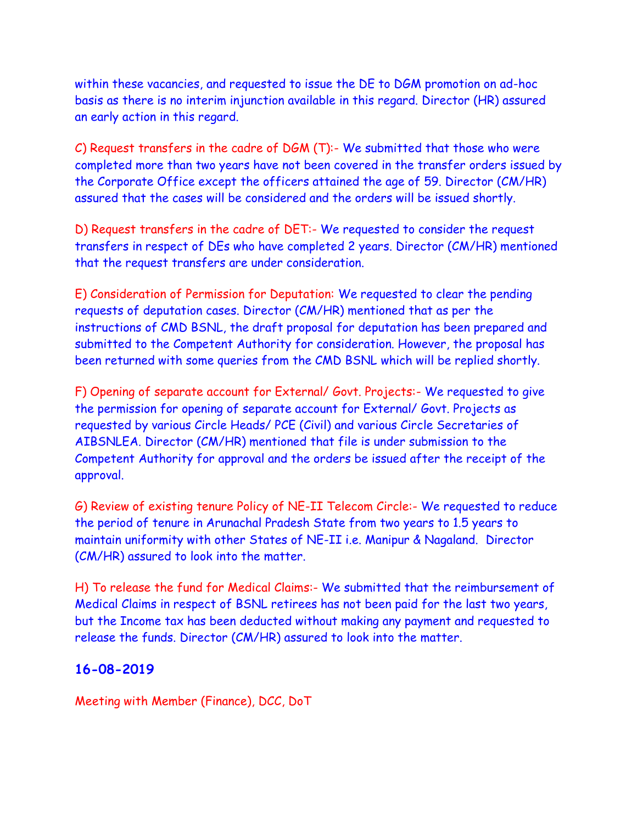within these vacancies, and requested to issue the DE to DGM promotion on ad-hoc basis as there is no interim injunction available in this regard. Director (HR) assured an early action in this regard.

C) Request transfers in the cadre of DGM (T):- We submitted that those who were completed more than two years have not been covered in the transfer orders issued by the Corporate Office except the officers attained the age of 59. Director (CM/HR) assured that the cases will be considered and the orders will be issued shortly.

D) Request transfers in the cadre of DET:- We requested to consider the request transfers in respect of DEs who have completed 2 years. Director (CM/HR) mentioned that the request transfers are under consideration.

E) Consideration of Permission for Deputation: We requested to clear the pending requests of deputation cases. Director (CM/HR) mentioned that as per the instructions of CMD BSNL, the draft proposal for deputation has been prepared and submitted to the Competent Authority for consideration. However, the proposal has been returned with some queries from the CMD BSNL which will be replied shortly.

F) Opening of separate account for External/ Govt. Projects:- We requested to give the permission for opening of separate account for External/ Govt. Projects as requested by various Circle Heads/ PCE (Civil) and various Circle Secretaries of AIBSNLEA. Director (CM/HR) mentioned that file is under submission to the Competent Authority for approval and the orders be issued after the receipt of the approval.

G) Review of existing tenure Policy of NE-II Telecom Circle:- We requested to reduce the period of tenure in Arunachal Pradesh State from two years to 1.5 years to maintain uniformity with other States of NE-II i.e. Manipur & Nagaland. Director (CM/HR) assured to look into the matter.

H) To release the fund for Medical Claims:- We submitted that the reimbursement of Medical Claims in respect of BSNL retirees has not been paid for the last two years, but the Income tax has been deducted without making any payment and requested to release the funds. Director (CM/HR) assured to look into the matter.

## **16-08-2019**

Meeting with Member (Finance), DCC, DoT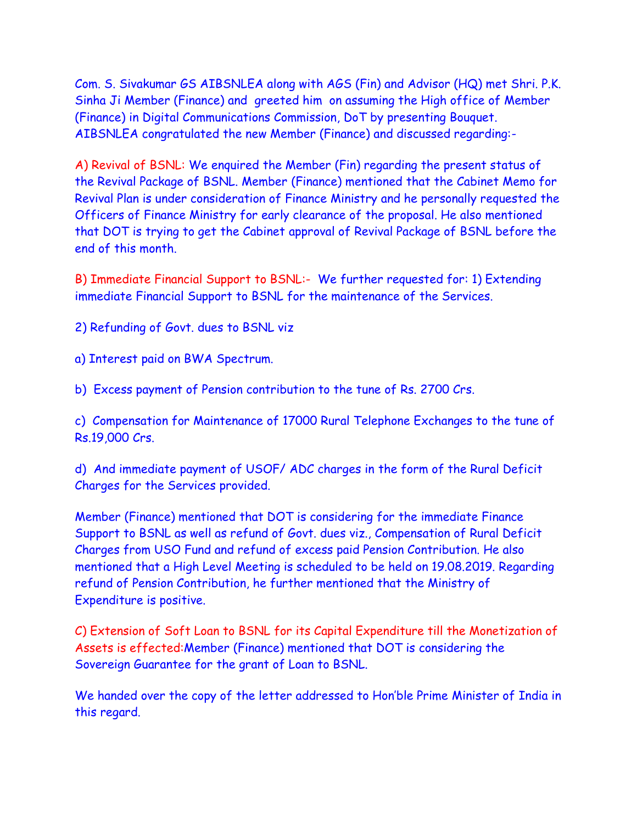Com. S. Sivakumar GS AIBSNLEA along with AGS (Fin) and Advisor (HQ) met Shri. P.K. Sinha Ji Member (Finance) and greeted him on assuming the High office of Member (Finance) in Digital Communications Commission, DoT by presenting Bouquet. AIBSNLEA congratulated the new Member (Finance) and discussed regarding:-

A) Revival of BSNL: We enquired the Member (Fin) regarding the present status of the Revival Package of BSNL. Member (Finance) mentioned that the Cabinet Memo for Revival Plan is under consideration of Finance Ministry and he personally requested the Officers of Finance Ministry for early clearance of the proposal. He also mentioned that DOT is trying to get the Cabinet approval of Revival Package of BSNL before the end of this month.

B) Immediate Financial Support to BSNL:- We further requested for: 1) Extending immediate Financial Support to BSNL for the maintenance of the Services.

2) Refunding of Govt. dues to BSNL viz

a) Interest paid on BWA Spectrum.

b) Excess payment of Pension contribution to the tune of Rs. 2700 Crs.

c) Compensation for Maintenance of 17000 Rural Telephone Exchanges to the tune of Rs.19,000 Crs.

d) And immediate payment of USOF/ ADC charges in the form of the Rural Deficit Charges for the Services provided.

Member (Finance) mentioned that DOT is considering for the immediate Finance Support to BSNL as well as refund of Govt. dues viz., Compensation of Rural Deficit Charges from USO Fund and refund of excess paid Pension Contribution. He also mentioned that a High Level Meeting is scheduled to be held on 19.08.2019. Regarding refund of Pension Contribution, he further mentioned that the Ministry of Expenditure is positive.

C) Extension of Soft Loan to BSNL for its Capital Expenditure till the Monetization of Assets is effected:Member (Finance) mentioned that DOT is considering the Sovereign Guarantee for the grant of Loan to BSNL.

We handed over the copy of the letter addressed to Hon'ble Prime Minister of India in this regard.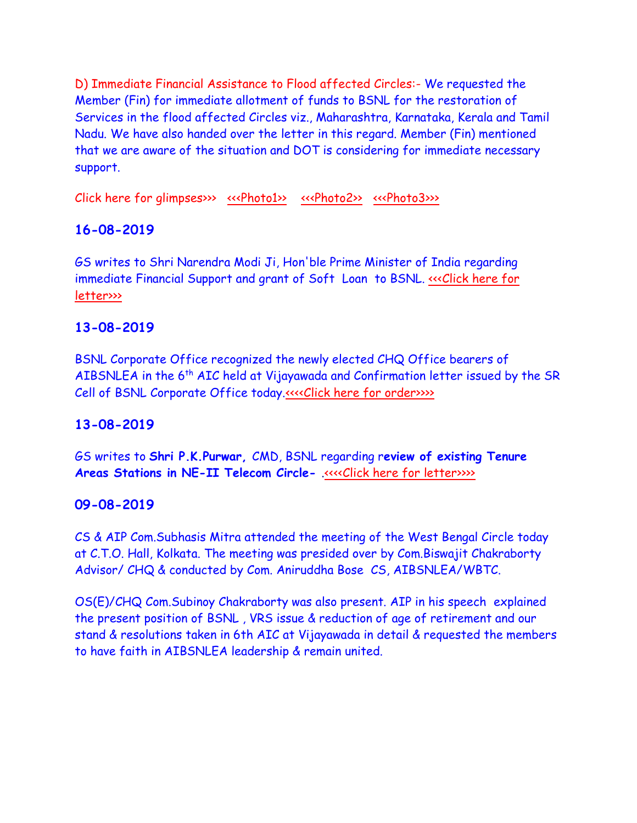D) Immediate Financial Assistance to Flood affected Circles:- We requested the Member (Fin) for immediate allotment of funds to BSNL for the restoration of Services in the flood affected Circles viz., Maharashtra, Karnataka, Kerala and Tamil Nadu. We have also handed over the letter in this regard. Member (Fin) mentioned that we are aware of the situation and DOT is considering for immediate necessary support.

Click here for glimpses>>>  $\frac{\langle\langle\mathbf{x}\rangle\rangle\langle\rangle}{\langle\mathbf{x}\rangle\langle\rangle\langle\rangle}$   $\frac{\langle\langle\mathbf{x}\rangle\langle\rangle\langle\rangle}{\langle\mathbf{x}\rangle\langle\rangle\langle\rangle\langle\rangle}$ 

# **16-08-2019**

GS writes to Shri Narendra Modi Ji, Hon'ble Prime Minister of India regarding immediate Financial Support and grant of Soft Loan to BSNL. «<< Click here for [letter>>>](http://www.aibsnleachq.in/PMO_190814.pdf)

# **13-08-2019**

BSNL Corporate Office recognized the newly elected CHQ Office bearers of AIBSNLEA in the  $6<sup>th</sup>$  AIC held at Vijayawada and Confirmation letter issued by the SR Cell of BSNL Corporate Office today[.<<<<Click here for order>>>>](http://www.aibsnleachq.in/AIBNSLEA138190001.pdf)>

# **13-08-2019**

GS writes to **Shri P.K.Purwar,** CMD, BSNL regarding r**eview of existing Tenure Areas Stations in NE-II Telecom Circle-** [.<<<<Click here for letter>>>>](http://www.aibsnleachq.in/cmd_190813.pdf)

## **09-08-2019**

CS & AIP Com.Subhasis Mitra attended the meeting of the West Bengal Circle today at C.T.O. Hall, Kolkata. The meeting was presided over by Com.Biswajit Chakraborty Advisor/ CHQ & conducted by Com. Aniruddha Bose CS, AIBSNLEA/WBTC.

OS(E)/CHQ Com.Subinoy Chakraborty was also present. AIP in his speech explained the present position of BSNL , VRS issue & reduction of age of retirement and our stand & resolutions taken in 6th AIC at Vijayawada in detail & requested the members to have faith in AIBSNLEA leadership & remain united.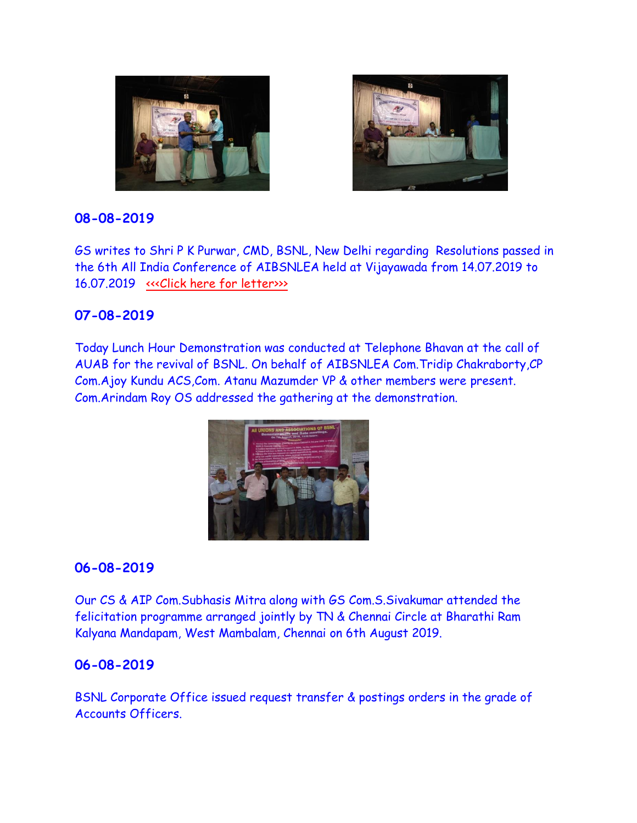



GS writes to Shri P K Purwar, CMD, BSNL, New Delhi regarding Resolutions passed in the 6th All India Conference of AIBSNLEA held at Vijayawada from 14.07.2019 to 16.07.2019 [<<<Click here for letter>>>](http://www.aibsnleachq.in/cmd_180808_3.pdf)

### **07-08-2019**

Today Lunch Hour Demonstration was conducted at Telephone Bhavan at the call of AUAB for the revival of BSNL. On behalf of AIBSNLEA Com.Tridip Chakraborty,CP Com.Ajoy Kundu ACS,Com. Atanu Mazumder VP & other members were present. Com.Arindam Roy OS addressed the gathering at the demonstration.



## **06-08-2019**

Our CS & AIP Com.Subhasis Mitra along with GS Com.S.Sivakumar attended the felicitation programme arranged jointly by TN & Chennai Circle at Bharathi Ram Kalyana Mandapam, West Mambalam, Chennai on 6th August 2019.

## **06-08-2019**

BSNL Corporate Office issued request transfer & postings orders in the grade of Accounts Officers.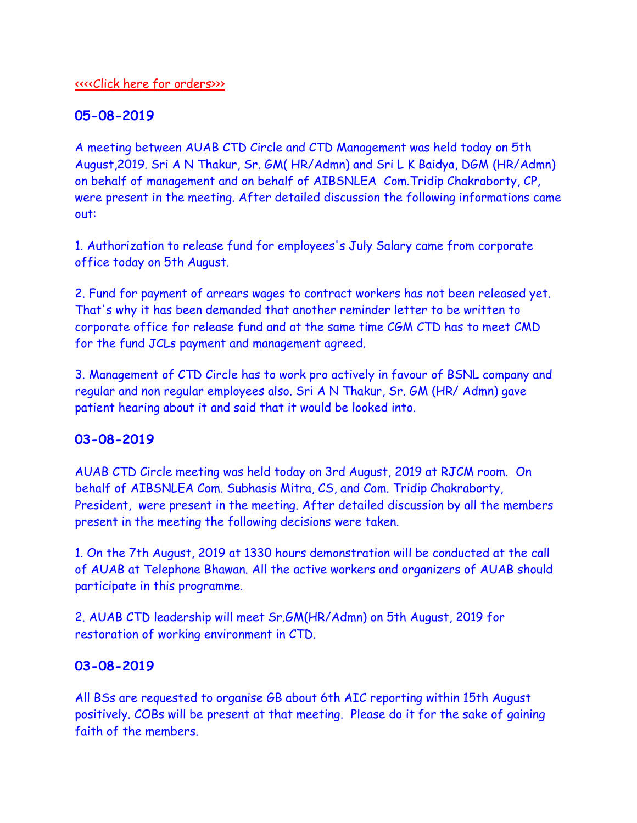#### [<<<<Click here for orders>>>](http://www.aibsnleachq.in/Transfer&posting_06.08.2019.pdf)

### **05-08-2019**

A meeting between AUAB CTD Circle and CTD Management was held today on 5th August,2019. Sri A N Thakur, Sr. GM( HR/Admn) and Sri L K Baidya, DGM (HR/Admn) on behalf of management and on behalf of AIBSNLEA Com.Tridip Chakraborty, CP, were present in the meeting. After detailed discussion the following informations came out:

1. Authorization to release fund for employees's July Salary came from corporate office today on 5th August.

2. Fund for payment of arrears wages to contract workers has not been released yet. That's why it has been demanded that another reminder letter to be written to corporate office for release fund and at the same time CGM CTD has to meet CMD for the fund JCLs payment and management agreed.

3. Management of CTD Circle has to work pro actively in favour of BSNL company and regular and non regular employees also. Sri A N Thakur, Sr. GM (HR/ Admn) gave patient hearing about it and said that it would be looked into.

## **03-08-2019**

AUAB CTD Circle meeting was held today on 3rd August, 2019 at RJCM room. On behalf of AIBSNLEA Com. Subhasis Mitra, CS, and Com. Tridip Chakraborty, President, were present in the meeting. After detailed discussion by all the members present in the meeting the following decisions were taken.

1. On the 7th August, 2019 at 1330 hours demonstration will be conducted at the call of AUAB at Telephone Bhawan. All the active workers and organizers of AUAB should participate in this programme.

2. AUAB CTD leadership will meet Sr.GM(HR/Admn) on 5th August, 2019 for restoration of working environment in CTD.

### **03-08-2019**

All BSs are requested to organise GB about 6th AIC reporting within 15th August positively. COBs will be present at that meeting. Please do it for the sake of gaining faith of the members.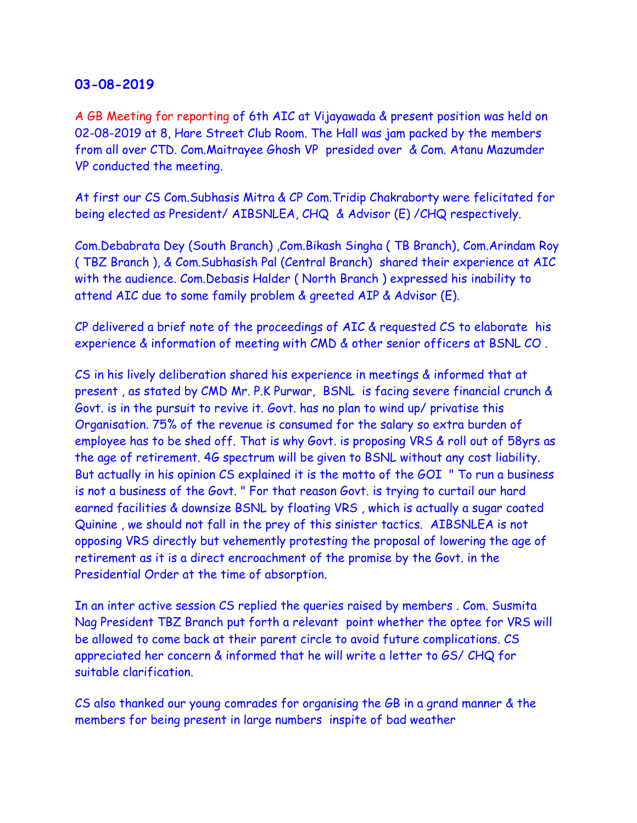A GB Meeting for reporting of 6th AIC at Vijayawada & present position was held on 02-08-2019 at 8, Hare Street Club Room. The Hall was jam packed by the members from all over CTD. Com.Maitrayee Ghosh VP presided over & Com. Atanu Mazumder VP conducted the meeting.

At first our CS Com.Subhasis Mitra & CP Com.Tridip Chakraborty were felicitated for being elected as President/ AIBSNLEA, CHQ & Advisor (E) /CHQ respectively.

Com.Debabrata Dey (South Branch) ,Com.Bikash Singha ( TB Branch), Com.Arindam Roy ( TBZ Branch ), & Com.Subhasish Pal (Central Branch) shared their experience at AIC with the audience. Com.Debasis Halder ( North Branch ) expressed his inability to attend AIC due to some family problem & greeted AIP & Advisor (E).

CP delivered a brief note of the proceedings of AIC & requested CS to elaborate his experience & information of meeting with CMD & other senior officers at BSNL CO .

CS in his lively deliberation shared his experience in meetings & informed that at present , as stated by CMD Mr. P.K Purwar, BSNL is facing severe financial crunch & Govt. is in the pursuit to revive it. Govt. has no plan to wind up/ privatise this Organisation. 75% of the revenue is consumed for the salary so extra burden of employee has to be shed off. That is why Govt. is proposing VRS & roll out of 58yrs as the age of retirement. 4G spectrum will be given to BSNL without any cost liability. But actually in his opinion CS explained it is the motto of the GOI " To run a business is not a business of the Govt. " For that reason Govt. is trying to curtail our hard earned facilities & downsize BSNL by floating VRS , which is actually a sugar coated Quinine , we should not fall in the prey of this sinister tactics. AIBSNLEA is not opposing VRS directly but vehemently protesting the proposal of lowering the age of retirement as it is a direct encroachment of the promise by the Govt. in the Presidential Order at the time of absorption.

In an inter active session CS replied the queries raised by members . Com. Susmita Nag President TBZ Branch put forth a relevant point whether the optee for VRS will be allowed to come back at their parent circle to avoid future complications. CS appreciated her concern & informed that he will write a letter to GS/ CHQ for suitable clarification.

CS also thanked our young comrades for organising the GB in a grand manner & the members for being present in large numbers inspite of bad weather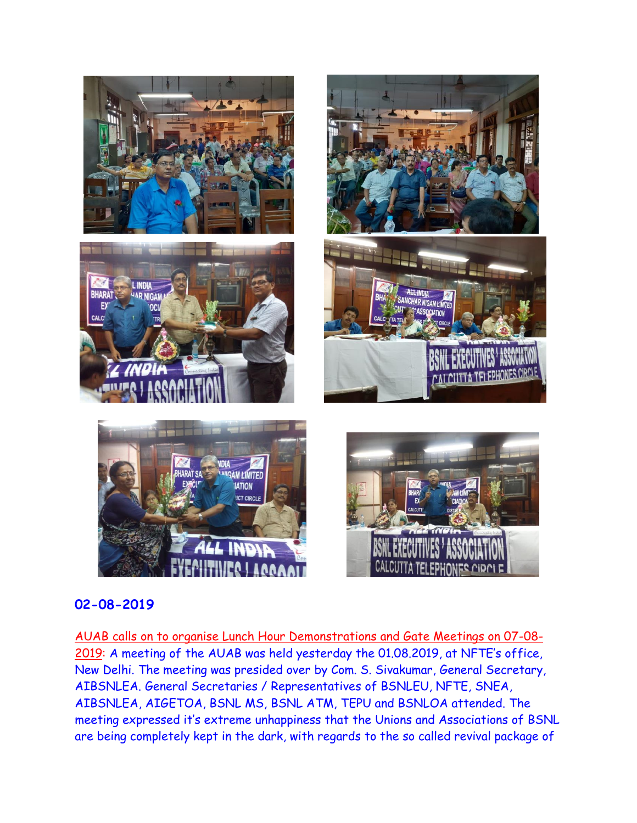

AUAB calls on to organise Lunch Hour Demonstrations and Gate Meetings on 07-08- 2019: A meeting of the AUAB was held yesterday the 01.08.2019, at NFTE's office, New Delhi. The meeting was presided over by Com. S. Sivakumar, General Secretary, AIBSNLEA. General Secretaries / Representatives of BSNLEU, NFTE, SNEA, AIBSNLEA, AIGETOA, BSNL MS, BSNL ATM, TEPU and BSNLOA attended. The meeting expressed it's extreme unhappiness that the Unions and Associations of BSNL are being completely kept in the dark, with regards to the so called revival package of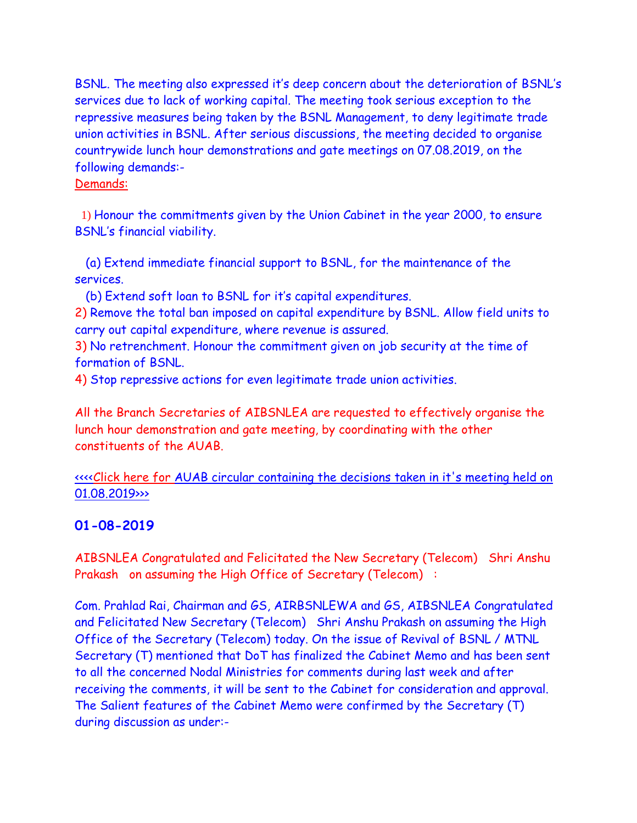BSNL. The meeting also expressed it's deep concern about the deterioration of BSNL's services due to lack of working capital. The meeting took serious exception to the repressive measures being taken by the BSNL Management, to deny legitimate trade union activities in BSNL. After serious discussions, the meeting decided to organise countrywide lunch hour demonstrations and gate meetings on 07.08.2019, on the following demands:-

#### Demands:

1) Honour the commitments given by the Union Cabinet in the year 2000, to ensure BSNL's financial viability.

 (a) Extend immediate financial support to BSNL, for the maintenance of the services.

(b) Extend soft loan to BSNL for it's capital expenditures.

2) Remove the total ban imposed on capital expenditure by BSNL. Allow field units to carry out capital expenditure, where revenue is assured.

3) No retrenchment. Honour the commitment given on job security at the time of formation of BSNL.

4) Stop repressive actions for even legitimate trade union activities.

All the Branch Secretaries of AIBSNLEA are requested to effectively organise the lunch hour demonstration and gate meeting, by coordinating with the other constituents of the AUAB.**:**

<<<<Click here for [AUAB circular containing the decisions taken in it's meeting held on](http://www.aibsnleachq.in/AUAB%20Circular%20dated%2002.08.2019.pdf)  [01.08.2019>>>](http://www.aibsnleachq.in/AUAB%20Circular%20dated%2002.08.2019.pdf)

## **01-08-2019**

AIBSNLEA Congratulated and Felicitated the New Secretary (Telecom) Shri Anshu Prakash on assuming the High Office of Secretary (Telecom) :

Com. Prahlad Rai, Chairman and GS, AIRBSNLEWA and GS, AIBSNLEA Congratulated and Felicitated New Secretary (Telecom) Shri Anshu Prakash on assuming the High Office of the Secretary (Telecom) today. On the issue of Revival of BSNL / MTNL Secretary (T) mentioned that DoT has finalized the Cabinet Memo and has been sent to all the concerned Nodal Ministries for comments during last week and after receiving the comments, it will be sent to the Cabinet for consideration and approval. The Salient features of the Cabinet Memo were confirmed by the Secretary (T) during discussion as under:-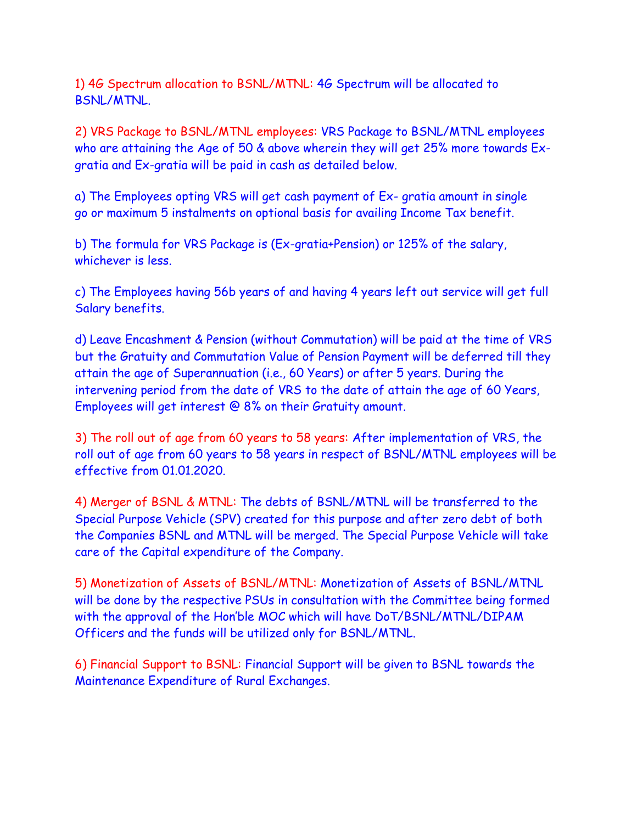1) 4G Spectrum allocation to BSNL/MTNL: 4G Spectrum will be allocated to BSNL/MTNL.

2) VRS Package to BSNL/MTNL employees: VRS Package to BSNL/MTNL employees who are attaining the Age of 50 & above wherein they will get 25% more towards Exgratia and Ex-gratia will be paid in cash as detailed below.

a) The Employees opting VRS will get cash payment of Ex- gratia amount in single go or maximum 5 instalments on optional basis for availing Income Tax benefit.

b) The formula for VRS Package is (Ex-gratia+Pension) or 125% of the salary, whichever is less.

c) The Employees having 56b years of and having 4 years left out service will get full Salary benefits.

d) Leave Encashment & Pension (without Commutation) will be paid at the time of VRS but the Gratuity and Commutation Value of Pension Payment will be deferred till they attain the age of Superannuation (i.e., 60 Years) or after 5 years. During the intervening period from the date of VRS to the date of attain the age of 60 Years, Employees will get interest @ 8% on their Gratuity amount.

3) The roll out of age from 60 years to 58 years: After implementation of VRS, the roll out of age from 60 years to 58 years in respect of BSNL/MTNL employees will be effective from 01.01.2020.

4) Merger of BSNL & MTNL: The debts of BSNL/MTNL will be transferred to the Special Purpose Vehicle (SPV) created for this purpose and after zero debt of both the Companies BSNL and MTNL will be merged. The Special Purpose Vehicle will take care of the Capital expenditure of the Company.

5) Monetization of Assets of BSNL/MTNL: Monetization of Assets of BSNL/MTNL will be done by the respective PSUs in consultation with the Committee being formed with the approval of the Hon'ble MOC which will have DoT/BSNL/MTNL/DIPAM Officers and the funds will be utilized only for BSNL/MTNL.

6) Financial Support to BSNL: Financial Support will be given to BSNL towards the Maintenance Expenditure of Rural Exchanges.